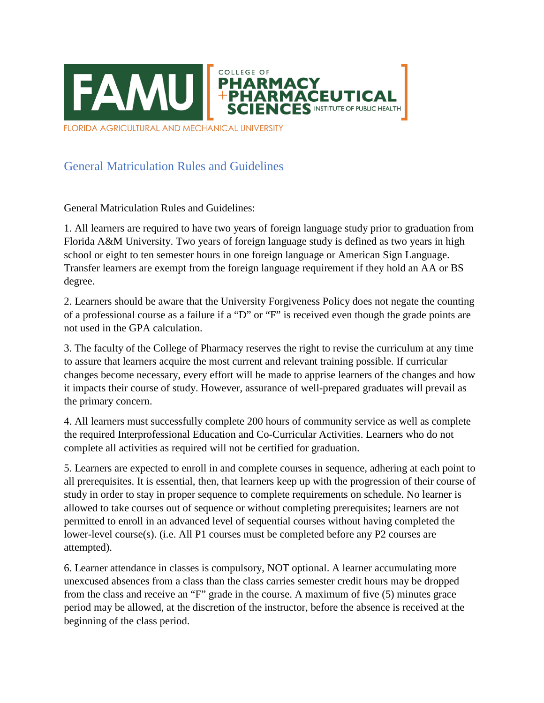

FLORIDA AGRICULTURAL AND MECHANICAL UNIVERSITY

## General Matriculation Rules and Guidelines

General Matriculation Rules and Guidelines:

1. All learners are required to have two years of foreign language study prior to graduation from Florida A&M University. Two years of foreign language study is defined as two years in high school or eight to ten semester hours in one foreign language or American Sign Language. Transfer learners are exempt from the foreign language requirement if they hold an AA or BS degree.

2. Learners should be aware that the University Forgiveness Policy does not negate the counting of a professional course as a failure if a "D" or "F" is received even though the grade points are not used in the GPA calculation.

3. The faculty of the College of Pharmacy reserves the right to revise the curriculum at any time to assure that learners acquire the most current and relevant training possible. If curricular changes become necessary, every effort will be made to apprise learners of the changes and how it impacts their course of study. However, assurance of well-prepared graduates will prevail as the primary concern.

4. All learners must successfully complete 200 hours of community service as well as complete the required Interprofessional Education and Co-Curricular Activities. Learners who do not complete all activities as required will not be certified for graduation.

5. Learners are expected to enroll in and complete courses in sequence, adhering at each point to all prerequisites. It is essential, then, that learners keep up with the progression of their course of study in order to stay in proper sequence to complete requirements on schedule. No learner is allowed to take courses out of sequence or without completing prerequisites; learners are not permitted to enroll in an advanced level of sequential courses without having completed the lower-level course(s). (i.e. All P1 courses must be completed before any P2 courses are attempted).

6. Learner attendance in classes is compulsory, NOT optional. A learner accumulating more unexcused absences from a class than the class carries semester credit hours may be dropped from the class and receive an "F" grade in the course. A maximum of five (5) minutes grace period may be allowed, at the discretion of the instructor, before the absence is received at the beginning of the class period.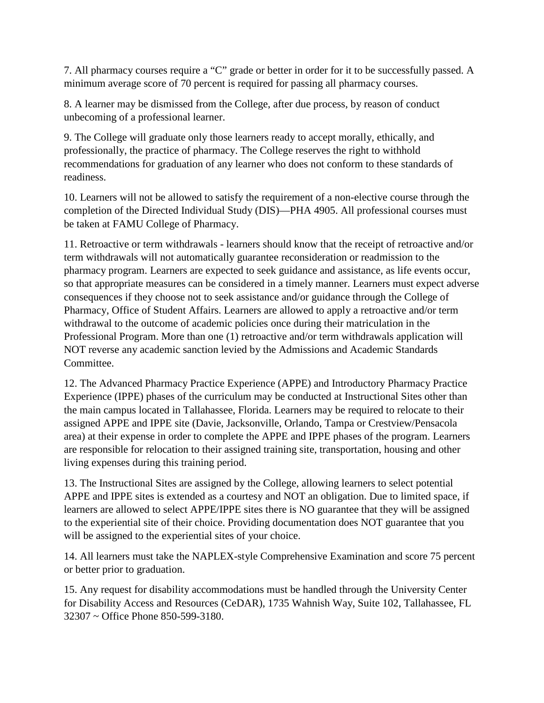7. All pharmacy courses require a "C" grade or better in order for it to be successfully passed. A minimum average score of 70 percent is required for passing all pharmacy courses.

8. A learner may be dismissed from the College, after due process, by reason of conduct unbecoming of a professional learner.

9. The College will graduate only those learners ready to accept morally, ethically, and professionally, the practice of pharmacy. The College reserves the right to withhold recommendations for graduation of any learner who does not conform to these standards of readiness.

10. Learners will not be allowed to satisfy the requirement of a non-elective course through the completion of the Directed Individual Study (DIS)—PHA 4905. All professional courses must be taken at FAMU College of Pharmacy.

11. Retroactive or term withdrawals - learners should know that the receipt of retroactive and/or term withdrawals will not automatically guarantee reconsideration or readmission to the pharmacy program. Learners are expected to seek guidance and assistance, as life events occur, so that appropriate measures can be considered in a timely manner. Learners must expect adverse consequences if they choose not to seek assistance and/or guidance through the College of Pharmacy, Office of Student Affairs. Learners are allowed to apply a retroactive and/or term withdrawal to the outcome of academic policies once during their matriculation in the Professional Program. More than one (1) retroactive and/or term withdrawals application will NOT reverse any academic sanction levied by the Admissions and Academic Standards Committee.

12. The Advanced Pharmacy Practice Experience (APPE) and Introductory Pharmacy Practice Experience (IPPE) phases of the curriculum may be conducted at Instructional Sites other than the main campus located in Tallahassee, Florida. Learners may be required to relocate to their assigned APPE and IPPE site (Davie, Jacksonville, Orlando, Tampa or Crestview/Pensacola area) at their expense in order to complete the APPE and IPPE phases of the program. Learners are responsible for relocation to their assigned training site, transportation, housing and other living expenses during this training period.

13. The Instructional Sites are assigned by the College, allowing learners to select potential APPE and IPPE sites is extended as a courtesy and NOT an obligation. Due to limited space, if learners are allowed to select APPE/IPPE sites there is NO guarantee that they will be assigned to the experiential site of their choice. Providing documentation does NOT guarantee that you will be assigned to the experiential sites of your choice.

14. All learners must take the NAPLEX-style Comprehensive Examination and score 75 percent or better prior to graduation.

15. Any request for disability accommodations must be handled through the University Center for Disability Access and Resources (CeDAR), 1735 Wahnish Way, Suite 102, Tallahassee, FL 32307 ~ Office Phone 850-599-3180.